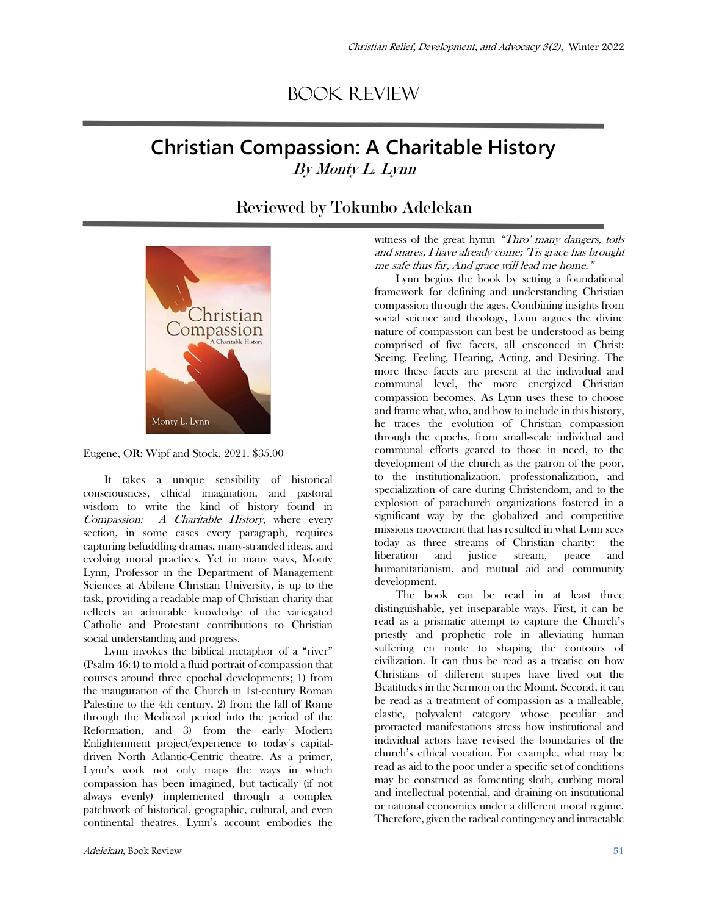## Book Review

## **Christian Compassion: A Charitable History**  By Monty L. Lynn

## Reviewed by Tokunbo Adelekan





It takes a unique sensibility of historical consciousness, ethical imagination, and pastoral wisdom to write the kind of history found in Compassion: A Charitable History, where every section, in some cases every paragraph, requires capturing befuddling dramas, many-stranded ideas, and evolving moral practices. Yet in many ways, Monty Lynn, Professor in the Department of Management Sciences at Abilene Christian University, is up to the task, providing a readable map of Christian charity that reflects an admirable knowledge of the variegated Catholic and Protestant contributions to Christian social understanding and progress.

Lynn invokes the biblical metaphor of a "river" (Psalm 46:4) to mold a fluid portrait of compassion that courses around three epochal developments; 1) from the inauguration of the Church in 1st-century Roman Palestine to the 4th century, 2) from the fall of Rome through the Medieval period into the period of the Reformation, and 3) from the early Modern Enlightenment project/experience to today's capitaldriven North Atlantic-Centric theatre. As a primer, Lynn's work not only maps the ways in which compassion has been imagined, but tactically (if not always evenly) implemented through a complex patchwork of historical, geographic, cultural, and even continental theatres. Lynn's account embodies the

witness of the great hymn "Thro' many dangers, toils and snares, I have already come; 'Tis grace has brought me safe thus far, And grace will lead me home."

Lynn begins the book by setting a foundational framework for defining and understanding Christian compassion through the ages. Combining insights from social science and theology, Lynn argues the divine nature of compassion can best be understood as being comprised of five facets, all ensconced in Christ: Seeing, Feeling, Hearing, Acting, and Desiring. The more these facets are present at the individual and communal level, the more energized Christian compassion becomes. As Lynn uses these to choose and frame what, who, and how to include in this history, he traces the evolution of Christian compassion through the epochs, from small-scale individual and communal efforts geared to those in need, to the development of the church as the patron of the poor, to the institutionalization, professionalization, and specialization of care during Christendom, and to the explosion of parachurch organizations fostered in a significant way by the globalized and competitive missions movement that has resulted in what Lynn sees today as three streams of Christian charity: the liberation and justice stream, peace and humanitarianism, and mutual aid and community development.

The book can be read in at least three distinguishable, yet inseparable ways. First, it can be read as a prismatic attempt to capture the Church's priestly and prophetic role in alleviating human suffering en route to shaping the contours of civilization. It can thus be read as a treatise on how Christians of different stripes have lived out the Beatitudes in the Sermon on the Mount. Second, it can be read as a treatment of compassion as a malleable, elastic, polyvalent category whose peculiar and protracted manifestations stress how institutional and individual actors have revised the boundaries of the church's ethical vocation. For example, what may be read as aid to the poor under a specific set of conditions may be construed as fomenting sloth, curbing moral and intellectual potential, and draining on institutional or national economies under a different moral regime. Therefore, given the radical contingency and intractable